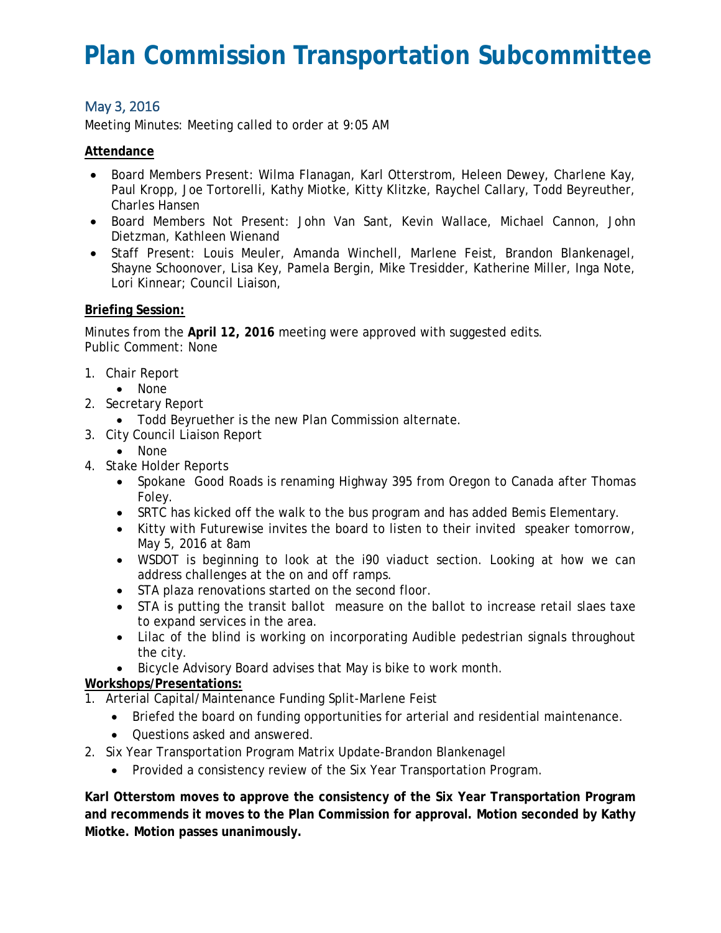# **Plan Commission Transportation Subcommittee**

## May 3, 2016

Meeting Minutes: Meeting called to order at 9:05 AM

#### **Attendance**

- Board Members Present: Wilma Flanagan, Karl Otterstrom, Heleen Dewey, Charlene Kay, Paul Kropp, Joe Tortorelli, Kathy Miotke, Kitty Klitzke, Raychel Callary, Todd Beyreuther, Charles Hansen
- Board Members Not Present: John Van Sant, Kevin Wallace, Michael Cannon, John Dietzman, Kathleen Wienand
- Staff Present: Louis Meuler, Amanda Winchell, Marlene Feist, Brandon Blankenagel, Shayne Schoonover, Lisa Key, Pamela Bergin, Mike Tresidder, Katherine Miller, Inga Note, Lori Kinnear; Council Liaison,

#### **Briefing Session:**

Minutes from the **April 12, 2016** meeting were approved with suggested edits. Public Comment: None

- 1. Chair Report
	- None
- 2. Secretary Report
	- Todd Beyruether is the new Plan Commission alternate.
- 3. City Council Liaison Report
	- None
- 4. Stake Holder Reports
	- Spokane Good Roads is renaming Highway 395 from Oregon to Canada after Thomas Foley.
	- SRTC has kicked off the walk to the bus program and has added Bemis Elementary.
	- Kitty with Futurewise invites the board to listen to their invited speaker tomorrow, May 5, 2016 at 8am
	- WSDOT is beginning to look at the i90 viaduct section. Looking at how we can address challenges at the on and off ramps.
	- STA plaza renovations started on the second floor.
	- STA is putting the transit ballot measure on the ballot to increase retail slaes taxe to expand services in the area.
	- Lilac of the blind is working on incorporating Audible pedestrian signals throughout the city.
	- Bicycle Advisory Board advises that May is bike to work month.

### **Workshops/Presentations:**

- 1. Arterial Capital/Maintenance Funding Split-Marlene Feist
	- Briefed the board on funding opportunities for arterial and residential maintenance.
	- Questions asked and answered.
- 2. Six Year Transportation Program Matrix Update-Brandon Blankenagel
	- Provided a consistency review of the Six Year Transportation Program.

**Karl Otterstom moves to approve the consistency of the Six Year Transportation Program and recommends it moves to the Plan Commission for approval. Motion seconded by Kathy Miotke. Motion passes unanimously.**